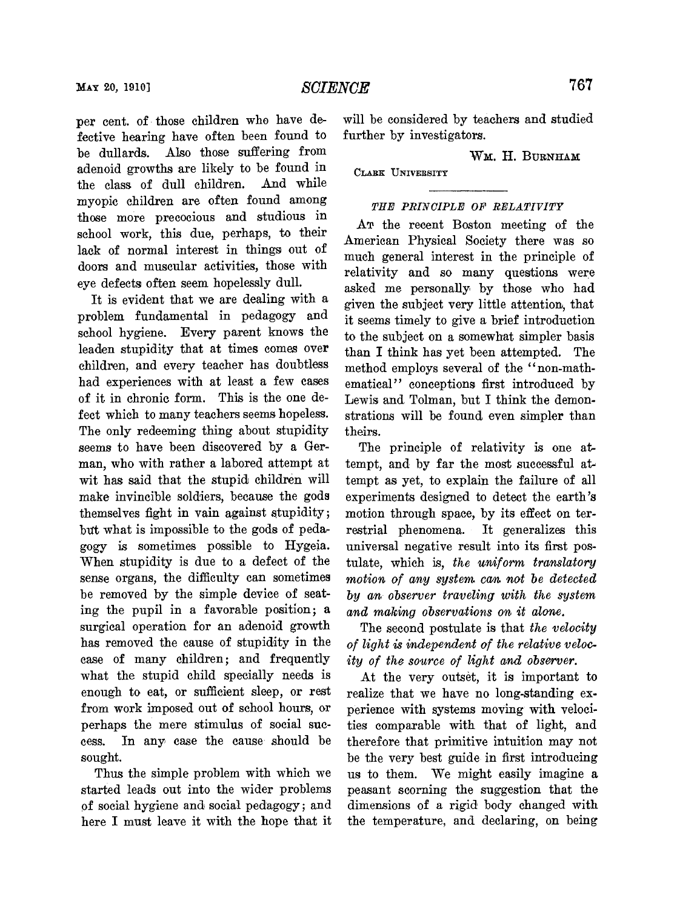*SCIENCE* 

fective hearing have often been found to be dullards. Also those suffering from WM. H. BURNHAM adenoid growths are likely to be found in **CLABK UNIVERSITY** the class of dull children. And while the class of dull children. myopic children are often found among those more precocious and studious in school work, this due, perhaps, to their lack of normal interest in things out of doors and muscular activities, those with eye defects often seem hopelessly dull.

It is evident that we are dealing with a problem fundamental in pedagogy and school hygiene. Every parent knows the leaden stupidity that at times comes over children, and every teacher has doubtless had experiences with at least a few cases of it in chronic form. This is the one defect which to many teachers seems hopeless. The only redeeming thing about stupidity seems to have been discovered by a German, who with rather a labored attempt at wit has said that the stupid children will make invincible soldiers, because the gods themselves fight in vain against stupidity; but what is impossible to the gods of pedagogy is sometimes possible to Hygeia. When stupidity is due to a defect of the sense organs, the difficulty can sometimes be removed by the simple device of seating the pupil in a favorable position; a surgical operation for an adenoid growth has removed the cause of stupidity in the case of many children; and frequently what the stupid child specially needs is enough to eat, or sufficient sleep, or rest from work imposed out of school hours, or perhaps the mere stimulus of social success. In any case the cause. should be sought.

Thus the simple problem with which we started leads out into the wider problems of social hygiene and social pedagogy; and here I must leave it with the hope that it

per cent. of those children who have de- will be considered by teachers and studied fective hearing have often been found to further by investigators.

## *THE PRINCIPLE OF RELATIVITY*

AT the recent Boston meeting of the American Physical Society there was so much general interest in the principle of relativity and so many questions were asked me personally by those who had given the subject very little attention, that it seems timely to give a brief introduction to the subject on a somewhat simpler basis than I think has yet been attempted. The method employs several of the "non-mathematical" conceptions first introduced by Lewis and Tolman, but I think the demonstrations will be found even simpler than theirs.

The principle of relativity is one attempt, and by far the most successful at. tempt as yet, to explain the failure of all experiments designed to detect the earth's motion through space, by its effect on terrestrial phenomena. It generalizes this universal negative result into its first postulate, which is, the uniform translatory *motion of any system cam not be detected by am observer traveling with the system and making observations* **om** *it alme.* 

The second postulate is that *the velocity*  of light is independent of the relative veloc*ity of the source of light and observer.* 

At the very outset, it is important to realize that we have no long-standing experience with systems moving with velocities comparable with that of light, and therefore that primitive intuition may not be the very best guide in first introducing us to them. We might easily imagine a peasant scorning the suggestion that the dimensions of a rigid body changed with the temperature, and declaring, on being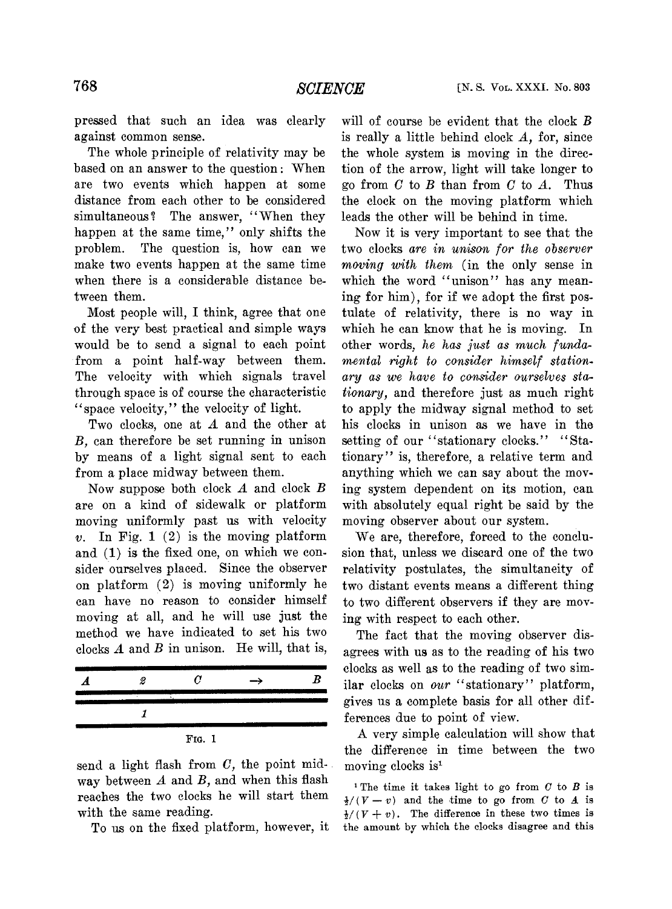pressed that such an idea was clearly against common sense.

The whole principle of relativity may be based on an answer to the question: When are two events which happen at some distance from each other to **be** considered simultaneous? The answer, "When they happen at the same time," only shifts the problem. The question is, how can we make two events happen at the same time when there is a considerable distance between them.

Most people will, I think, agree that one of the very best practical and simple ways would be to send a signal to each point from a point half-way between them. The velocity with which signals travel through space is of course the characteristic "space velocity," the velocity of light.

Two clocks, one at A and the other at *B,* can therefore be set running in unison by means of a light signal sent to each from a place midway between them.

Now suppose both clock A and clock B are on a kind of sidewalk or platform moving uniformly past us with velocity  $v.$  In Fig. 1  $(2)$  is the moving platform and (1) is the fixed one, on which we consider ourselves placed. Since the observer on platform (2) is moving uniformly he can have no reason to consider himself moving at all, and he will use just the method we have indicated to set his two clocks A and *B* in unison. He will, that is,

| 2 | U         | - | В |
|---|-----------|---|---|
|   |           |   |   |
|   |           |   |   |
|   | FIG.<br>I |   |   |

send a light flash from *C,* the point midway between  $A$  and  $B$ , and when this flash reaches the two clocks he will start them with the same reading.

To us on the fixed platform, however, it

will of course be evident that the clock B is really a little behind clock A, for, since the whole system is moving in the direction of the arrow, light will take longer to go from C to B than from *C* to *A.* Thus the clock on the moving platform which leads the other will be behind in time.

Now it is very important to see that the two clocks *are in unison for the observer moving with them* (in the only sense in which the word "unison" has any meaning for him), for if we adopt the first postulate of relativity, there is no way in which he can know that he is moving. In other words, *he has just as much fundamental right to consider himself stationary as we have to consider ourselves stationary,* and therefore just as much right to apply the midway signal method to set his clocks in unison **as** we have in the setting of our "stationary clocks." "Stationary" is, therefore, a relative term and anything which we can say about the moving system dependent on its motion, can with absolutely equal right be said by the moving observer about our system.

We are, therefore, forced to the conclusion that, unless we discard one of the two relativity postulates, the simultaneity of two distant events means a different thing to two different observers if they are moving with respect to each other.

The fact that the moving observer disagrees with us as to the reading of his two clocks as well ax to the reading of two similar clocks on *our* "stationary" platform, gives us a complete basis for all other differences due to point of view.

A very simple calculation will show that the difference in time between the two moving clocks is<sup>1</sup>

<sup>1</sup>The time it takes light to go from *C* to *B* is  $\frac{1}{2}$ /(*V* - *v*) and the time to go from *C* to *A* is  $\frac{1}{2}$ /(*V* - *v*) and the time to go from *C* to *A* is  $\frac{1}{2}$ /(*V* + *v*). The difference in these two times is the amount by which the clocks disagree and this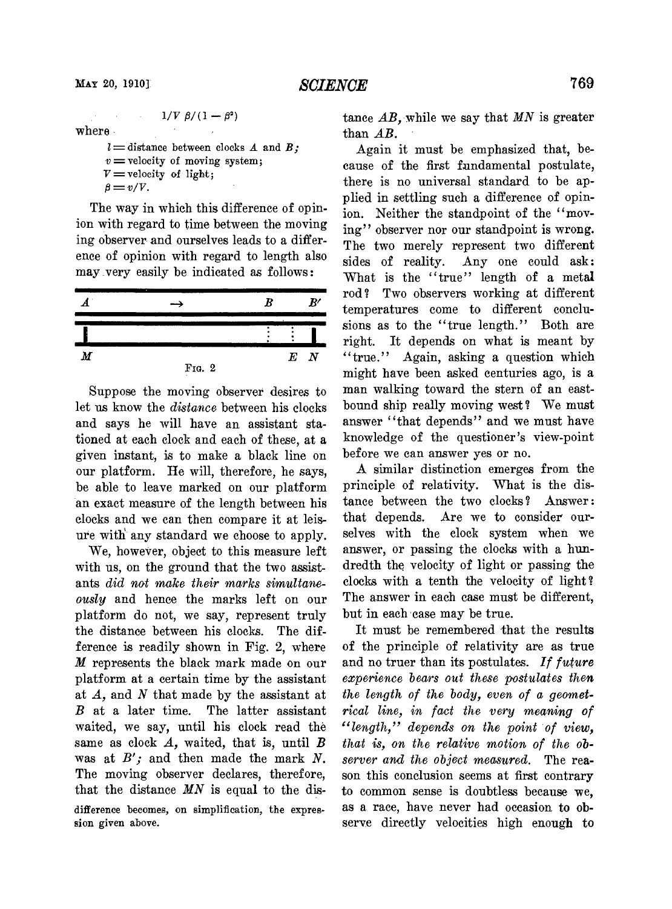where

 $l =$ distance between clocks *A* and *B*;  $v =$  velocity of moving system;  $V =$  velocity of light;  $\beta = v/V.$ 

 $1/V \beta/(1-\beta^2)$ 

The way in which this difference of opinion with regard to time between the moving ing observer and ourselves leads to a difference of opinion with regard to length also may very easily be indicated as follows:



Suppose the moving observer desires to let us know the *distance* between his clocks and says he will have an assistant stationed at each clock and each of these, at a given instant, is to make a black line on our platform. He will, therefore, he says, be able to leave marked on our platform an exact measure of the length between his clocks and we can then compare it at leisure witli any standard we choose to apply.

We, however, object to this measure left with us, on the ground that the two assistants *did not make their marks simultaneously* and hence the marks left on our platform do not, we say, represent truly the distance between his clocks. The difference is readily shown in Fig. 2, where M represents the black mark made on our platform at a certain time by the assistant at *A,* and *N* that made by the assistant at *B* at a later time. The latter assistant waited, we say, until his clock read the same as clock  $A$ , waited, that is, until  $B$ was at  $B'$ ; and then made the mark  $N$ . The moving observer declares, therefore, that the distance *MN* is equal to the disdifference becomes, on simplification, the expres**sion** given above.

tance *AB,* while we say that *MN* is greater than AB.

Again it must be emphasized that, because of the first fundamental postulate, there is no universal standard to be applied in settling such a difference of opinion. Neither the standpoint of the "moving" observer nor our standpoint is wrong. The two merely represent two different sides of reality. Any one could ask: What is the "true" length of a metal rod? Two observers working at different temperatures come to different conclusions as to the "true length." Both are right. It depends on what is meant by "true." Again, asking a question which might have been asked centuries ago, is a man walking toward the stern of an eastbound ship really moving west? We must answer "that depends" and we must have knowledge of the questioner's view-point before we can answer yes or no.

A similar distinction emerges from the principle of relativity. What is the distance between the two clocks? Answer: that depends. Are we to consider ourselves with the clock system when we answer, or passing the clocks with a hundredth the velocity of light or passing the clocks with a tenth the velocity of light? The answer in each case must be different, but in each case may be true.

It must be remembered that the results of the principle of relativity are as true and no truer than its postulates. *If fwture experience bears out these postulates then the length of the body, even of a geometrical line, in fact the very meaning of "length," depends on the point of view, that is, on the relative motion of the observer and the object measured.* The reason this conclusion seems at first contrary to common sense is doubtless because we, as a race, have never had occasion to observe directly velocities high enough to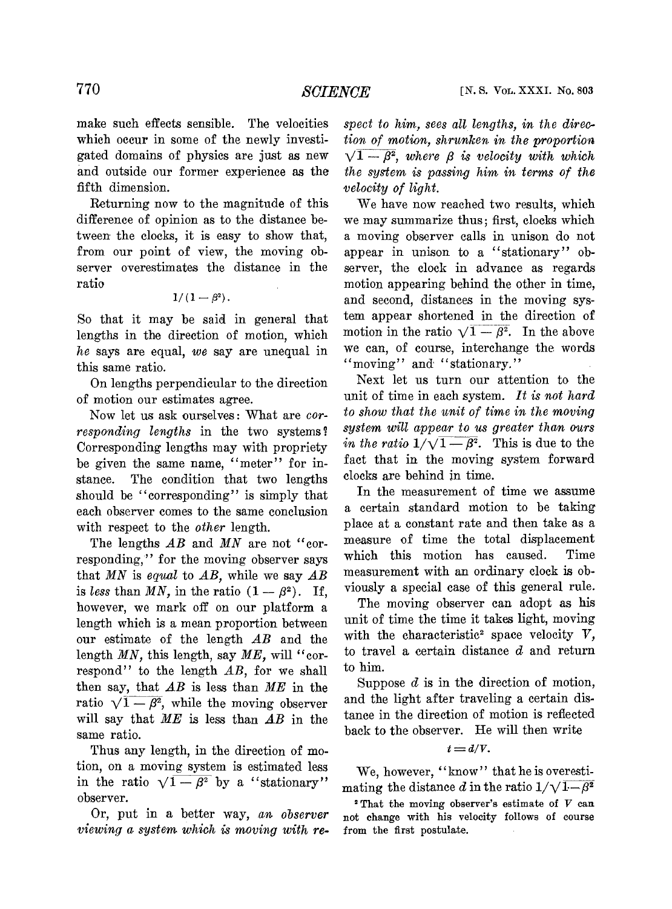make such effects sensible. The velocities which occur in some of the newly investigated domains of physics are just as new and outside our former experience as the fifth dimension.

Returning now to the magnitude of this difference of opinion as to the distance between the clocks, it is easy to show that, from our point of view, the moving observer overestimates the distance in the ratio

$$
1/\left( 1-\beta ^{2}\right) .
$$

So that it may be said in general that lengths in the direction of motion, which *he* says are equal, *we* say are unequal in this same ratio.

On lengths perpendicular to the direction of motion our estimates agree.

Now let us ask ourselves: What are *corresponding lengths* in the two systems? Corresponding lengths may with propriety be given the same name, "meter" for instance. The condition that two lengths should be "corresponding" is simply that each observer comes to the same conclusion with respect to the *other* length.

The lengths AB and MN are not "corresponding," for the moving observer says that MN is *equal* to AB, while we say  $\overline{AB}$  is *less* than MN, in the ratio  $(1 - \beta^2)$ . If, however, we mark off on our platform a length which is a mean proportion between our estimate of the length  $AB$  and the length MN, this length, say ME, will "correspond" to the length  $AB$ , for we shall then say, that AB is less than *ME* in the ratio  $\sqrt{1-\beta^2}$ , while the moving observer will say that *ME* is less than AB in the same ratio.

Thus any length, in the direction of motion, on a moving system is estimated less in the ratio  $\sqrt{1-\beta^2}$  by a "stationary" observer.

Or, put in *a* better way, *an observer viewing a system which is moving with re-* spect to him, sees all lengths, in the direc*tion of motion, shrunken in the proportion*  $\sqrt{1 - \beta^2}$ , where  $\beta$  is velocity with which *the system is passing him in terms of the velocity of light.* 

We have now reached two results, which we may summarize thus; first, clocks which a moving observer calls in unison do not appear in unison to a "stationary" observer, the clock in advance as regards motion appearing behind the other in time, and second, distances in the moving system appear shortened in the direction of<br>motion in the ratio  $\sqrt{1 - \beta^2}$ . In the above we can, of course, interchange the words "moving" and "stationary."

Next let us turn our attention to the unit of time in each system. *It is not hard lo show that the unit of time in the moving system will appear to us greater than ours in the ratio*  $1/\sqrt{1-\beta^2}$ . This is due to the fact that in the moving system forward clocks are behind in time.

In the measurement of time we assume a certain standard motion to be taking place at a constant rate and then take as a measure of time the total displacement which this motion has caused. Time measurement with an ordinary clock is obviously a special case of this general rule.

The moving observer can adopt as his unit of time the time it takes light, moving with the characteristic<sup>2</sup> space velocity  $V$ , to travel a certain distance *d* and return to him.

Suppose *d* is in the direction of motion, and the light after traveling a certain distance in the direction of motion is reflected back to the observer. He will then write

$$
t = d/V.
$$

We, however, "know" that he is overestimating the distance d in the ratio  $1/\sqrt{1-\beta^2}$ 

<sup>2</sup> That the moving observer's estimate of  $V$  can not change with his velocity follows of course from the first postulate.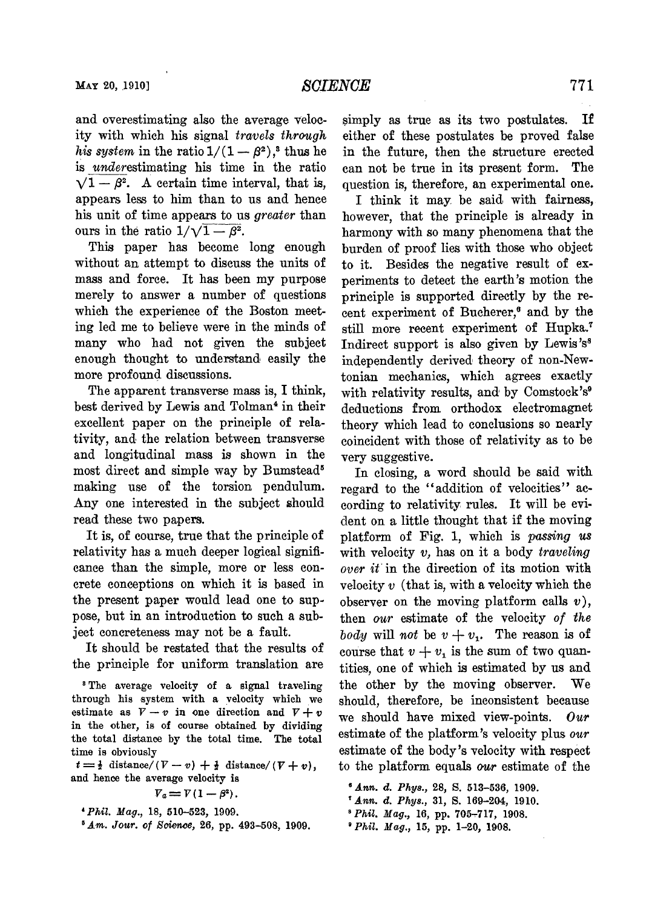and overestimating also the average velocity with which his signal travels through his system in the ratio  $1/(1-\beta^2)$ ,<sup>3</sup> thus he is *under* estimating his time in the ratio  $\sqrt{1 - \beta^2}$ . A certain time interval, that is, appears less to him than to us and hence his unit of time appears to us *greater* than ours in the ratio  $1/\sqrt{1-\beta^2}$ .

This paper has become long enough without an attempt to discuss the units of mass and force. It has been my purpose merely to answer a number of questions which the experience of the Boston meeting led me to believe were in the minds of many who had not given the subject enough thought to understand easily the more profound discussions.

The apparent transverse mass is, I think, best derived by Lewis and Tolman4 in their excellent paper on the principle of relativity, and the relation between transverse and longitudinal mass is shown in the most direct and simple way by Bumstead" making use of the torsion pendulum. Any one interested in the subject should read these two papers.

It is, of course, true that the principle of relativity has a much deeper logical significance than the simple, more or less concrete conceptions on which it is based in the present paper would lead one to suppose, but in an introduction to such a subject concreteness may not be a fault.

It should be restated that the results of the principle for uniform translation are

**The average velocity of a signal traveling**  through his system with a velocity which we estimate as  $V - v$  in one direction and  $V + v$ **in the other, is of course obtained by dividing the total distance by the total time. The total time is obviously** 

 $t=\frac{1}{2}$  distance/( $V-v$ ) +  $\frac{1}{2}$  distance/( $V+v$ ), **and hence the average velocity is** 

 $V_a = V(1 - \beta^2)$ .

 $^5$  Am. Jour. of Science, 26, pp. 493-508, 1909.

simply as true as its two postulates. If either of these postulates be proved fake in the future, then the structure erected can not be true in its present form. The question is, therefore, an experimental one.

I think it may be said with fairness, however, that the principle is already in harmony with so many phenomena that the burden of proof lies with those who object to it. Besides the negative result of experiments to detect the earth's motion the principle is supported directly by the recent experiment of Bucherer,<sup>6</sup> and by the still more recent experiment of Hupka.<sup>7</sup> Indirect support is also given by Lewis's<sup>8</sup> independently derived theory of non-Newtonim mechanics, which agrees exactly with relativity results, and by Comstock's $9$ deductions from orthodox electromagnet theory which lead to conclusions so nearly coincident with those of relativity as to be very suggestive.

In closing, a word should be said with regard to the "addition of velocities" according to relativity rules. It will be evident on a little thought that if the moving platform of Fig. 1, which is passing us with velocity  $v$ , has on it a body traveling over it in the direction of its motion with velocity  $v$  (that is, with a velocity which the observer on the moving platform calls  $v$ ), then our estimate of the velocity of the body will not be  $v + v_1$ . The reason is of course that  $v + v_1$  is the sum of two quantities, one of which is estimated by us and the other by the moving observer. We should, therefore, be inconsistent because we should have mixed view-points. Our estimate of the platform's velocity plus our estimate of the body's velocity with respect to the platform equals *our* estimate of the

- **"nn.** d. Phys., **31,** S. **169-204, 1910.**
- sPhil. *Mag.,* **16, pp. 705-717, 1908.**
- <sup>•</sup> Phil. *Mag.*, 15, pp. 1-20, 1908.

<sup>\*</sup> PMZ. *Hag.,* **18, 510-523, 1909.** 

**<sup>&#</sup>x27;Ann.** d. Phys., **28,** S. **513-536, 1909.**